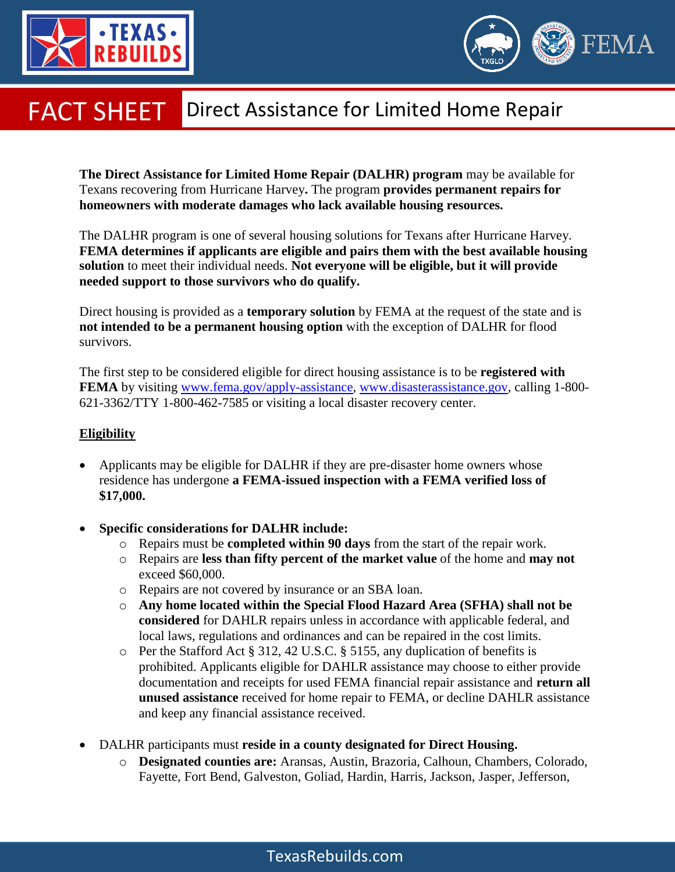



## Direct Assistance for Limited Home Repair FACT SHEET

**The Direct Assistance for Limited Home Repair (DALHR) program** may be available for Texans recovering from Hurricane Harvey**.** The program **provides permanent repairs for homeowners with moderate damages who lack available housing resources.**

The DALHR program is one of several housing solutions for Texans after Hurricane Harvey. **FEMA determines if applicants are eligible and pairs them with the best available housing solution** to meet their individual needs. **Not everyone will be eligible, but it will provide needed support to those survivors who do qualify.** 

Direct housing is provided as a **temporary solution** by FEMA at the request of the state and is **not intended to be a permanent housing option** with the exception of DALHR for flood survivors.

The first step to be considered eligible for direct housing assistance is to be **registered with FEMA** by visiting [www.fema.gov/apply-assistance,](http://www.fema.gov/apply-assistance) [www.disasterassistance.gov,](http://www.disasterassistance.gov/) calling 1-800-621-3362/TTY 1-800-462-7585 or visiting a local disaster recovery center.

## **Eligibility**

- Applicants may be eligible for DALHR if they are pre-disaster home owners whose residence has undergone **a FEMA-issued inspection with a FEMA verified loss of \$17,000.**
- **Specific considerations for DALHR include:**
	- o Repairs must be **completed within 90 days** from the start of the repair work.
	- o Repairs are **less than fifty percent of the market value** of the home and **may not**  exceed \$60,000.
	- o Repairs are not covered by insurance or an SBA loan.
	- o **Any home located within the Special Flood Hazard Area (SFHA) shall not be considered** for DAHLR repairs unless in accordance with applicable federal, and local laws, regulations and ordinances and can be repaired in the cost limits.
	- o Per the Stafford Act § 312, 42 U.S.C. § 5155, any duplication of benefits is prohibited. Applicants eligible for DAHLR assistance may choose to either provide documentation and receipts for used FEMA financial repair assistance and **return all unused assistance** received for home repair to FEMA, or decline DAHLR assistance and keep any financial assistance received.
- DALHR participants must **reside in a county designated for Direct Housing.**
	- o **Designated counties are:** Aransas, Austin, Brazoria, Calhoun, Chambers, Colorado, Fayette, Fort Bend, Galveston, Goliad, Hardin, Harris, Jackson, Jasper, Jefferson,